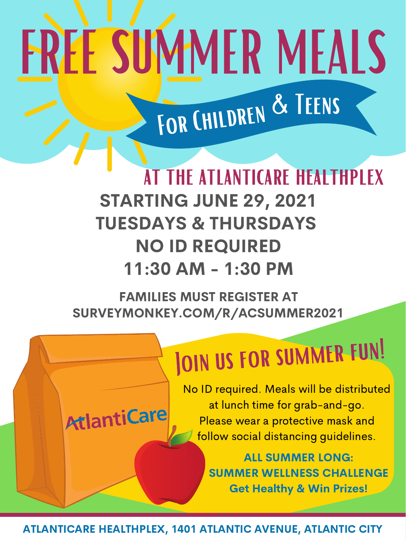#### FAMILIES MUST REGISTER AT SURVEYMONKEY.COM/R/ACSUMMER2021

### JOIN US FOR SUMMER FUN!

# FREMEALS

For Children & Teens

STARTING JUNE 29, 2021 TUESDAYS & THURSDAYS NO ID REQUIRED 11:30 AM - 1:30 PM THE ATLANTICARE HEALTHPLEX

ATLANTICARE HEALTHPLEX, 1401 ATLANTIC AVENUE, ATLANTIC CITY

AtlantiCare

No ID required. Meals will be distributed at lunch time for grab-and-go. Please wear a protective mask and follow social distancing guidelines.

> ALL SUMMER LONG: SUMMER WELLNESS CHALLENGE Get Healthy & Win Prizes!